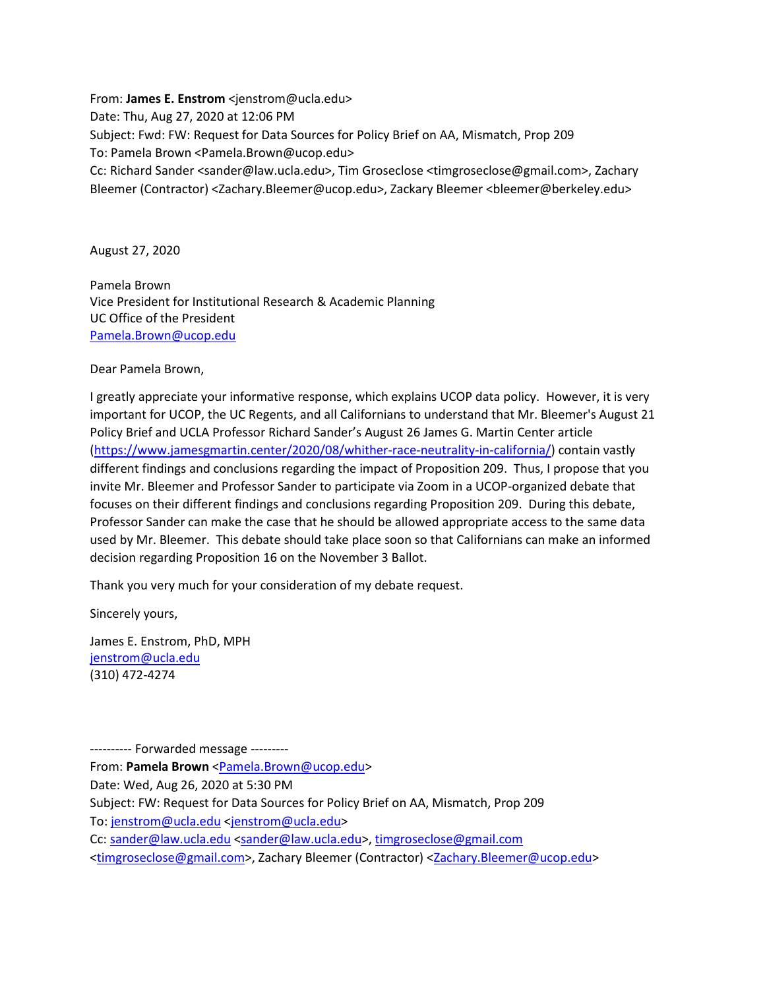From: **James E. Enstrom** <jenstrom@ucla.edu> Date: Thu, Aug 27, 2020 at 12:06 PM Subject: Fwd: FW: Request for Data Sources for Policy Brief on AA, Mismatch, Prop 209 To: Pamela Brown <Pamela.Brown@ucop.edu> Cc: Richard Sander <sander@law.ucla.edu>, Tim Groseclose <timgroseclose@gmail.com>, Zachary Bleemer (Contractor) <Zachary.Bleemer@ucop.edu>, Zackary Bleemer <bleemer@berkeley.edu>

August 27, 2020

Pamela Brown Vice President for Institutional Research & Academic Planning UC Office of the President [Pamela.Brown@ucop.edu](mailto:Pamela.Brown@ucop.edu)

Dear Pamela Brown,

I greatly appreciate your informative response, which explains UCOP data policy. However, it is very important for UCOP, the UC Regents, and all Californians to understand that Mr. Bleemer's August 21 Policy Brief and UCLA Professor Richard Sander's August 26 James G. Martin Center article [\(https://www.jamesgmartin.center/2020/08/whither-race-neutrality-in-california/\)](https://www.jamesgmartin.center/2020/08/whither-race-neutrality-in-california/) contain vastly different findings and conclusions regarding the impact of Proposition 209. Thus, I propose that you invite Mr. Bleemer and Professor Sander to participate via Zoom in a UCOP-organized debate that focuses on their different findings and conclusions regarding Proposition 209. During this debate, Professor Sander can make the case that he should be allowed appropriate access to the same data used by Mr. Bleemer. This debate should take place soon so that Californians can make an informed decision regarding Proposition 16 on the November 3 Ballot.

Thank you very much for your consideration of my debate request.

Sincerely yours,

James E. Enstrom, PhD, MPH [jenstrom@ucla.edu](mailto:jenstrom@ucla.edu) (310) 472-4274

---------- Forwarded message --------- From: **Pamela Brown** [<Pamela.Brown@ucop.edu>](mailto:Pamela.Brown@ucop.edu) Date: Wed, Aug 26, 2020 at 5:30 PM Subject: FW: Request for Data Sources for Policy Brief on AA, Mismatch, Prop 209 To[: jenstrom@ucla.edu](mailto:jenstrom@ucla.edu) [<jenstrom@ucla.edu>](mailto:jenstrom@ucla.edu) Cc: [sander@law.ucla.edu](mailto:sander@law.ucla.edu) [<sander@law.ucla.edu>](mailto:sander@law.ucla.edu), [timgroseclose@gmail.com](mailto:timgroseclose@gmail.com) [<timgroseclose@gmail.com>](mailto:timgroseclose@gmail.com), Zachary Bleemer (Contractor) [<Zachary.Bleemer@ucop.edu>](mailto:Zachary.Bleemer@ucop.edu)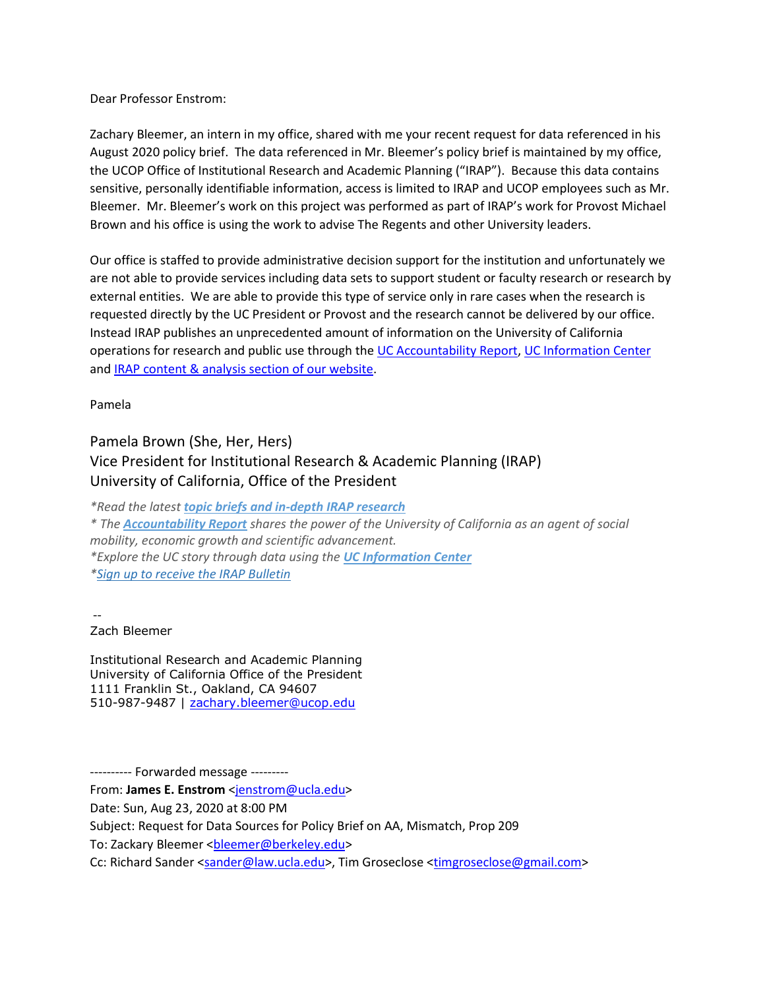Dear Professor Enstrom:

Zachary Bleemer, an intern in my office, shared with me your recent request for data referenced in his August 2020 policy brief. The data referenced in Mr. Bleemer's policy brief is maintained by my office, the UCOP Office of Institutional Research and Academic Planning ("IRAP"). Because this data contains sensitive, personally identifiable information, access is limited to IRAP and UCOP employees such as Mr. Bleemer. Mr. Bleemer's work on this project was performed as part of IRAP's work for Provost Michael Brown and his office is using the work to advise The Regents and other University leaders.

Our office is staffed to provide administrative decision support for the institution and unfortunately we are not able to provide services including data sets to support student or faculty research or research by external entities. We are able to provide this type of service only in rare cases when the research is requested directly by the UC President or Provost and the research cannot be delivered by our office. Instead IRAP publishes an unprecedented amount of information on the University of California operations for research and public use through the [UC Accountability Report,](https://accountability.universityofcalifornia.edu/2020/welcome.html) [UC Information Center](https://www.universityofcalifornia.edu/infocenter/) and [IRAP content & analysis section of our website.](https://ucop.edu/institutional-research-academic-planning/content-analysis/index.html)

Pamela

## Pamela Brown (She, Her, Hers) Vice President for Institutional Research & Academic Planning (IRAP) University of California, Office of the President

*\*Read the latest [topic briefs and in-depth IRAP research](http://www.ucop.edu/institutional-research-academic-planning/index.html) \* The [Accountability Report](http://accountability.universityofcalifornia.edu/) shares the power of the University of California as an agent of social mobility, economic growth and scientific advancement. \*Explore the UC story through data using the [UC Information Center](http://www.universityofcalifornia.edu/infocenter) [\\*Sign up to receive the IRAP Bulletin](http://eepurl.com/bvUyOH)*

--

Zach Bleemer

Institutional Research and Academic Planning University of California Office of the President 1111 Franklin St., Oakland, CA 94607 510-987-9487 | [zachary.bleemer@ucop.edu](mailto:zachary.bleemer@ucop.edu)

---------- Forwarded message --------- From: **James E. Enstrom** [<jenstrom@ucla.edu>](mailto:jenstrom@ucla.edu) Date: Sun, Aug 23, 2020 at 8:00 PM Subject: Request for Data Sources for Policy Brief on AA, Mismatch, Prop 209 To: Zackary Bleemer <br />
<br />
Letanguary<br />
Letanguary<br />
Letanguary<br />
Letanguary<br />
Letanguary<br />
Letanguary<br />
Letanguary<br />
Letanguary<br />
Letanguary<br />
Letanguary<br />
Letanguary<br />
L Cc: Richard Sander [<sander@law.ucla.edu>](mailto:sander@law.ucla.edu), Tim Groseclose [<timgroseclose@gmail.com>](mailto:timgroseclose@gmail.com)